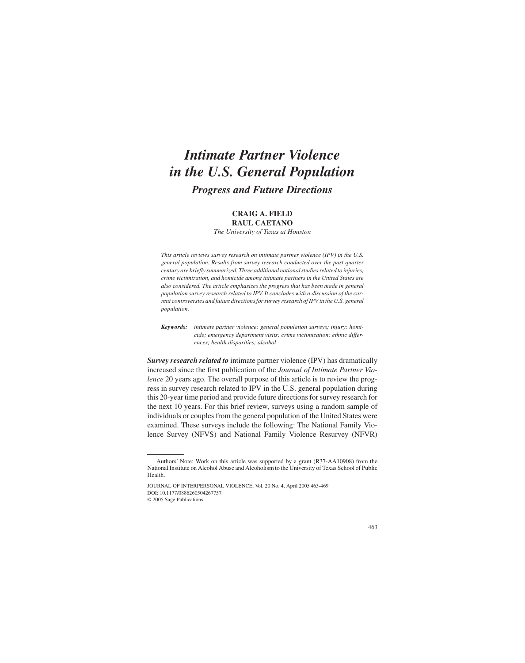# *Intimate Partner Violence in the U.S. General Population Progress and Future Directions*

# **CRAIG A. FIELD RAUL CAETANO**

*The University of Texas at Houston*

*This article reviews survey research on intimate partner violence (IPV) in the U.S. general population. Results from survey research conducted over the past quarter century are briefly summarized. Three additional national studies related to injuries, crime victimization, and homicide among intimate partners in the United States are also considered. The article emphasizes the progress that has been made in general population survey research related to IPV. It concludes with a discussion of the current controversies and future directions for survey research of IPV in the U.S. general population.*

*Keywords: intimate partner violence; general population surveys; injury; homicide; emergency department visits; crime victimization; ethnic differences; health disparities; alcohol*

*Survey research related to* intimate partner violence (IPV) has dramatically increased since the first publication of the *Journal of Intimate Partner Violence* 20 years ago. The overall purpose of this article is to review the progress in survey research related to IPV in the U.S. general population during this 20-year time period and provide future directions for survey research for the next 10 years. For this brief review, surveys using a random sample of individuals or couples from the general population of the United States were examined. These surveys include the following: The National Family Violence Survey (NFVS) and National Family Violence Resurvey (NFVR)

Authors' Note: Work on this article was supported by a grant (R37-AA10908) from the National Institute on Alcohol Abuse and Alcoholism to the University of Texas School of Public Health.

JOURNAL OF INTERPERSONAL VIOLENCE, Vol. 20 No. 4, April 2005 463-469 DOI: 10.1177/0886260504267757 © 2005 Sage Publications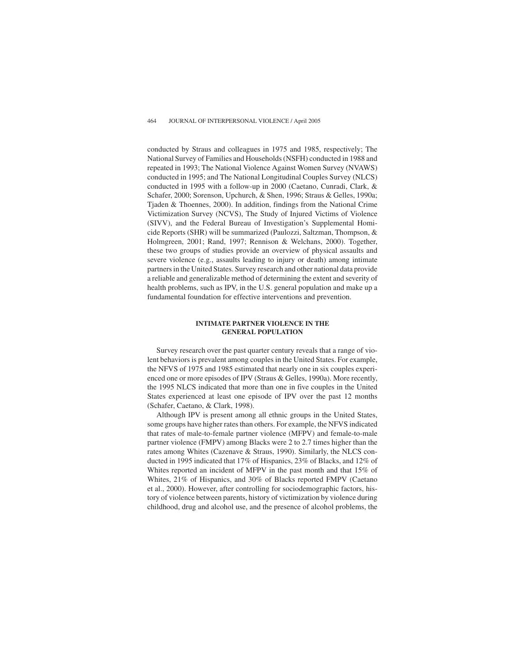conducted by Straus and colleagues in 1975 and 1985, respectively; The National Survey of Families and Households (NSFH) conducted in 1988 and repeated in 1993; The National Violence Against Women Survey (NVAWS) conducted in 1995; and The National Longitudinal Couples Survey (NLCS) conducted in 1995 with a follow-up in 2000 (Caetano, Cunradi, Clark, & Schafer, 2000; Sorenson, Upchurch, & Shen, 1996; Straus & Gelles, 1990a; Tjaden & Thoennes, 2000). In addition, findings from the National Crime Victimization Survey (NCVS), The Study of Injured Victims of Violence (SIVV), and the Federal Bureau of Investigation's Supplemental Homicide Reports (SHR) will be summarized (Paulozzi, Saltzman, Thompson, & Holmgreen, 2001; Rand, 1997; Rennison & Welchans, 2000). Together, these two groups of studies provide an overview of physical assaults and severe violence (e.g., assaults leading to injury or death) among intimate partners in the United States. Survey research and other national data provide a reliable and generalizable method of determining the extent and severity of health problems, such as IPV, in the U.S. general population and make up a fundamental foundation for effective interventions and prevention.

# **INTIMATE PARTNER VIOLENCE IN THE GENERAL POPULATION**

Survey research over the past quarter century reveals that a range of violent behaviors is prevalent among couples in the United States. For example, the NFVS of 1975 and 1985 estimated that nearly one in six couples experienced one or more episodes of IPV (Straus & Gelles, 1990a). More recently, the 1995 NLCS indicated that more than one in five couples in the United States experienced at least one episode of IPV over the past 12 months (Schafer, Caetano, & Clark, 1998).

Although IPV is present among all ethnic groups in the United States, some groups have higher rates than others. For example, the NFVS indicated that rates of male-to-female partner violence (MFPV) and female-to-male partner violence (FMPV) among Blacks were 2 to 2.7 times higher than the rates among Whites (Cazenave & Straus, 1990). Similarly, the NLCS conducted in 1995 indicated that 17% of Hispanics, 23% of Blacks, and 12% of Whites reported an incident of MFPV in the past month and that 15% of Whites, 21% of Hispanics, and 30% of Blacks reported FMPV (Caetano et al., 2000). However, after controlling for sociodemographic factors, history of violence between parents, history of victimization by violence during childhood, drug and alcohol use, and the presence of alcohol problems, the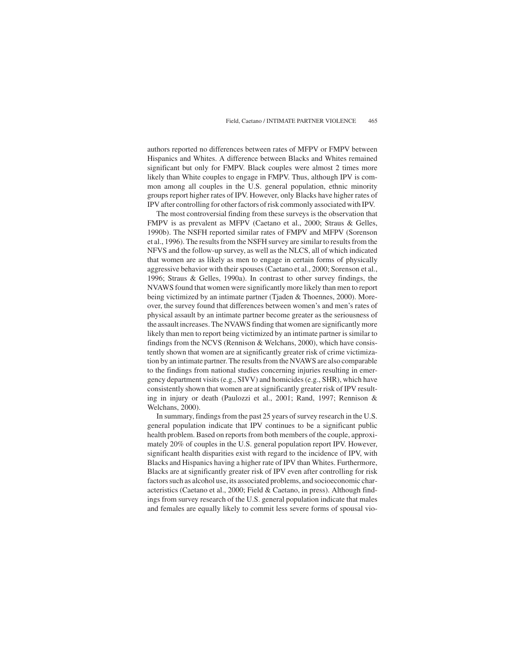authors reported no differences between rates of MFPV or FMPV between Hispanics and Whites. A difference between Blacks and Whites remained significant but only for FMPV. Black couples were almost 2 times more likely than White couples to engage in FMPV. Thus, although IPV is common among all couples in the U.S. general population, ethnic minority groups report higher rates of IPV. However, only Blacks have higher rates of IPV after controlling for other factors of risk commonly associated with IPV.

The most controversial finding from these surveys is the observation that FMPV is as prevalent as MFPV (Caetano et al., 2000; Straus & Gelles, 1990b). The NSFH reported similar rates of FMPV and MFPV (Sorenson et al., 1996). The results from the NSFH survey are similar to results from the NFVS and the follow-up survey, as well as the NLCS, all of which indicated that women are as likely as men to engage in certain forms of physically aggressive behavior with their spouses (Caetano et al., 2000; Sorenson et al., 1996; Straus & Gelles, 1990a). In contrast to other survey findings, the NVAWS found that women were significantly more likely than men to report being victimized by an intimate partner (Tjaden & Thoennes, 2000). Moreover, the survey found that differences between women's and men's rates of physical assault by an intimate partner become greater as the seriousness of the assault increases. The NVAWS finding that women are significantly more likely than men to report being victimized by an intimate partner is similar to findings from the NCVS (Rennison & Welchans, 2000), which have consistently shown that women are at significantly greater risk of crime victimization by an intimate partner. The results from the NVAWS are also comparable to the findings from national studies concerning injuries resulting in emergency department visits (e.g., SIVV) and homicides (e.g., SHR), which have consistently shown that women are at significantly greater risk of IPV resulting in injury or death (Paulozzi et al., 2001; Rand, 1997; Rennison & Welchans, 2000).

In summary, findings from the past 25 years of survey research in the U.S. general population indicate that IPV continues to be a significant public health problem. Based on reports from both members of the couple, approximately 20% of couples in the U.S. general population report IPV. However, significant health disparities exist with regard to the incidence of IPV, with Blacks and Hispanics having a higher rate of IPV than Whites. Furthermore, Blacks are at significantly greater risk of IPV even after controlling for risk factors such as alcohol use, its associated problems, and socioeconomic characteristics (Caetano et al., 2000; Field & Caetano, in press). Although findings from survey research of the U.S. general population indicate that males and females are equally likely to commit less severe forms of spousal vio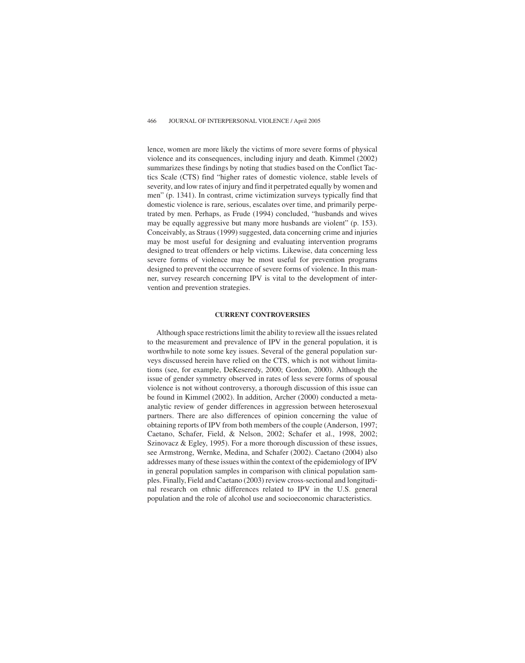lence, women are more likely the victims of more severe forms of physical violence and its consequences, including injury and death. Kimmel (2002) summarizes these findings by noting that studies based on the Conflict Tactics Scale (CTS) find "higher rates of domestic violence, stable levels of severity, and low rates of injury and find it perpetrated equally by women and men" (p. 1341). In contrast, crime victimization surveys typically find that domestic violence is rare, serious, escalates over time, and primarily perpetrated by men. Perhaps, as Frude (1994) concluded, "husbands and wives may be equally aggressive but many more husbands are violent" (p. 153). Conceivably, as Straus (1999) suggested, data concerning crime and injuries may be most useful for designing and evaluating intervention programs designed to treat offenders or help victims. Likewise, data concerning less severe forms of violence may be most useful for prevention programs designed to prevent the occurrence of severe forms of violence. In this manner, survey research concerning IPV is vital to the development of intervention and prevention strategies.

#### **CURRENT CONTROVERSIES**

Although space restrictions limit the ability to review all the issues related to the measurement and prevalence of IPV in the general population, it is worthwhile to note some key issues. Several of the general population surveys discussed herein have relied on the CTS, which is not without limitations (see, for example, DeKeseredy, 2000; Gordon, 2000). Although the issue of gender symmetry observed in rates of less severe forms of spousal violence is not without controversy, a thorough discussion of this issue can be found in Kimmel (2002). In addition, Archer (2000) conducted a metaanalytic review of gender differences in aggression between heterosexual partners. There are also differences of opinion concerning the value of obtaining reports of IPV from both members of the couple (Anderson, 1997; Caetano, Schafer, Field, & Nelson, 2002; Schafer et al., 1998, 2002; Szinovacz & Egley, 1995). For a more thorough discussion of these issues, see Armstrong, Wernke, Medina, and Schafer (2002). Caetano (2004) also addresses many of these issues within the context of the epidemiology of IPV in general population samples in comparison with clinical population samples. Finally, Field and Caetano (2003) review cross-sectional and longitudinal research on ethnic differences related to IPV in the U.S. general population and the role of alcohol use and socioeconomic characteristics.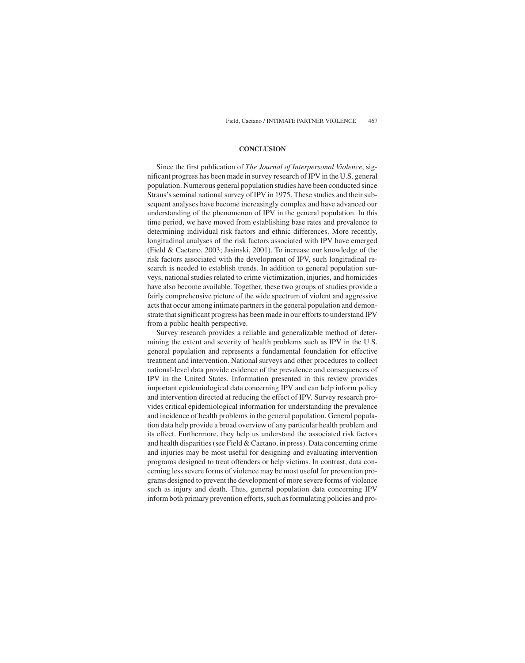## **CONCLUSION**

Since the first publication of *The Journal of Interpersonal Violence*, significant progress has been made in survey research of IPV in the U.S. general population. Numerous general population studies have been conducted since Straus's seminal national survey of IPV in 1975. These studies and their subsequent analyses have become increasingly complex and have advanced our understanding of the phenomenon of IPV in the general population. In this time period, we have moved from establishing base rates and prevalence to determining individual risk factors and ethnic differences. More recently, longitudinal analyses of the risk factors associated with IPV have emerged (Field & Caetano, 2003; Jasinski, 2001). To increase our knowledge of the risk factors associated with the development of IPV, such longitudinal research is needed to establish trends. In addition to general population surveys, national studies related to crime victimization, injuries, and homicides have also become available. Together, these two groups of studies provide a fairly comprehensive picture of the wide spectrum of violent and aggressive acts that occur among intimate partners in the general population and demonstrate that significant progress has been made in our efforts to understand IPV from a public health perspective.

Survey research provides a reliable and generalizable method of determining the extent and severity of health problems such as IPV in the U.S. general population and represents a fundamental foundation for effective treatment and intervention. National surveys and other procedures to collect national-level data provide evidence of the prevalence and consequences of IPV in the United States. Information presented in this review provides important epidemiological data concerning IPV and can help inform policy and intervention directed at reducing the effect of IPV. Survey research provides critical epidemiological information for understanding the prevalence and incidence of health problems in the general population. General population data help provide a broad overview of any particular health problem and its effect. Furthermore, they help us understand the associated risk factors and health disparities (see Field & Caetano, in press). Data concerning crime and injuries may be most useful for designing and evaluating intervention programs designed to treat offenders or help victims. In contrast, data concerning less severe forms of violence may be most useful for prevention programs designed to prevent the development of more severe forms of violence such as injury and death. Thus, general population data concerning IPV inform both primary prevention efforts, such as formulating policies and pro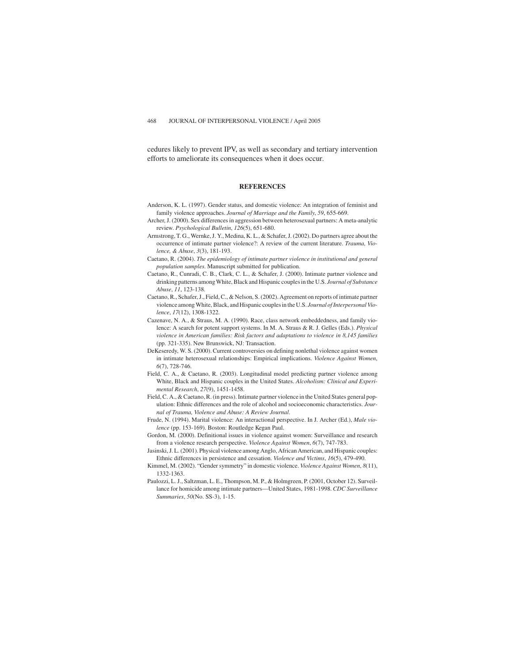cedures likely to prevent IPV, as well as secondary and tertiary intervention efforts to ameliorate its consequences when it does occur.

### **REFERENCES**

- Anderson, K. L. (1997). Gender status, and domestic violence: An integration of feminist and family violence approaches. *Journal of Marriage and the Family*, *59*, 655-669.
- Archer, J. (2000). Sex differences in aggression between heterosexual partners: A meta-analytic review. *Psychological Bulletin*, *126*(5), 651-680.
- Armstrong, T. G., Wernke, J. Y., Medina, K. L., & Schafer, J. (2002). Do partners agree about the occurrence of intimate partner violence?: A review of the current literature. *Trauma, Violence, & Abuse*, *3*(3), 181-193.
- Caetano, R. (2004). *The epidemiology of intimate partner violence in institutional and general population samples*. Manuscript submitted for publication.
- Caetano, R., Cunradi, C. B., Clark, C. L., & Schafer, J. (2000). Intimate partner violence and drinking patterns among White, Black and Hispanic couples in the U.S. *Journal of Substance Abuse*, *11*, 123-138.
- Caetano, R., Schafer, J., Field, C., & Nelson, S. (2002). Agreement on reports of intimate partner violence among White, Black, and Hispanic couples in the U.S. *Journal of Interpersonal Violence*, *17*(12), 1308-1322.
- Cazenave, N. A., & Straus, M. A. (1990). Race, class network embeddedness, and family violence: A search for potent support systems. In M. A. Straus & R. J. Gelles (Eds.). *Physical violence in American families: Risk factors and adaptations to violence in 8,145 families* (pp. 321-335). New Brunswick, NJ: Transaction.
- DeKeseredy, W. S. (2000). Current controversies on defining nonlethal violence against women in intimate heterosexual relationships: Empirical implications. *Violence Against Women*, *6*(7), 728-746.
- Field, C. A., & Caetano, R. (2003). Longitudinal model predicting partner violence among White, Black and Hispanic couples in the United States. *Alcoholism: Clinical and Experimental Research*, *27*(9), 1451-1458.
- Field, C. A., & Caetano, R. (in press). Intimate partner violence in the United States general population: Ethnic differences and the role of alcohol and socioeconomic characteristics. *Journal of Trauma, Violence and Abuse: A Review Journal*.
- Frude, N. (1994). Marital violence: An interactional perspective. In J. Archer (Ed.), *Male violence* (pp. 153-169). Boston: Routledge Kegan Paul.
- Gordon, M. (2000). Definitional issues in violence against women: Surveillance and research from a violence research perspective. *Violence Against Women*, *6*(7), 747-783.
- Jasinski, J. L. (2001). Physical violence among Anglo, African American, and Hispanic couples: Ethnic differences in persistence and cessation. *Violence and Victims*, *16*(5), 479-490.
- Kimmel, M. (2002). "Gender symmetry" in domestic violence. *Violence Against Women*, *8*(11), 1332-1363.
- Paulozzi, L. J., Saltzman, L. E., Thompson, M. P., & Holmgreen, P. (2001, October 12). Surveillance for homicide among intimate partners—United States, 1981-1998. *CDC Surveillance Summaries*, *50*(No. SS-3), 1-15.